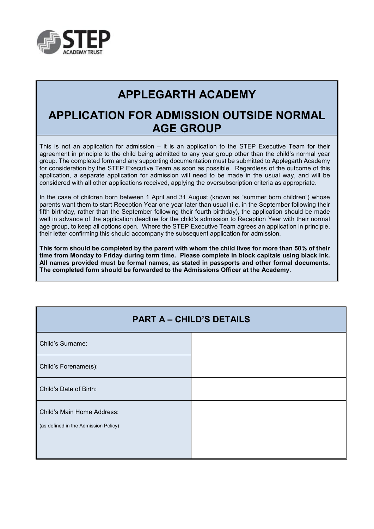

## **APPLEGARTH ACADEMY**

## **APPLICATION FOR ADMISSION OUTSIDE NORMAL AGE GROUP**

This is not an application for admission – it is an application to the STEP Executive Team for their agreement in principle to the child being admitted to any year group other than the child's normal year group. The completed form and any supporting documentation must be submitted to Applegarth Academy for consideration by the STEP Executive Team as soon as possible. Regardless of the outcome of this application, a separate application for admission will need to be made in the usual way, and will be considered with all other applications received, applying the oversubscription criteria as appropriate.

In the case of children born between 1 April and 31 August (known as "summer born children") whose parents want them to start Reception Year one year later than usual (i.e. in the September following their fifth birthday, rather than the September following their fourth birthday), the application should be made well in advance of the application deadline for the child's admission to Reception Year with their normal age group, to keep all options open. Where the STEP Executive Team agrees an application in principle, their letter confirming this should accompany the subsequent application for admission.

**This form should be completed by the parent with whom the child lives for more than 50% of their time from Monday to Friday during term time. Please complete in block capitals using black ink. All names provided must be formal names, as stated in passports and other formal documents. The completed form should be forwarded to the Admissions Officer at the Academy.**

| <b>PART A - CHILD'S DETAILS</b>                                    |  |
|--------------------------------------------------------------------|--|
| Child's Surname:                                                   |  |
| Child's Forename(s):                                               |  |
| Child's Date of Birth:                                             |  |
| Child's Main Home Address:<br>(as defined in the Admission Policy) |  |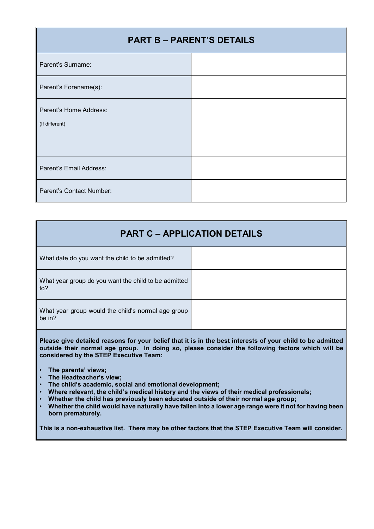| <b>PART B - PARENT'S DETAILS</b>         |  |
|------------------------------------------|--|
| Parent's Surname:                        |  |
| Parent's Forename(s):                    |  |
| Parent's Home Address:<br>(If different) |  |
| Parent's Email Address:                  |  |
| Parent's Contact Number:                 |  |

| <b>PART C - APPLICATION DETAILS</b>                          |  |
|--------------------------------------------------------------|--|
| What date do you want the child to be admitted?              |  |
| What year group do you want the child to be admitted<br>to?  |  |
| What year group would the child's normal age group<br>be in? |  |

**Please give detailed reasons for your belief that it is in the best interests of your child to be admitted outside their normal age group. In doing so, please consider the following factors which will be considered by the STEP Executive Team:**

- **The parents' views;**
- **The Headteacher's view;**
- **The child's academic, social and emotional development;**
- **Where relevant, the child's medical history and the views of their medical professionals;**
- **Whether the child has previously been educated outside of their normal age group;**
- **Whether the child would have naturally have fallen into a lower age range were it not for having been born prematurely.**

**This is a non-exhaustive list. There may be other factors that the STEP Executive Team will consider.**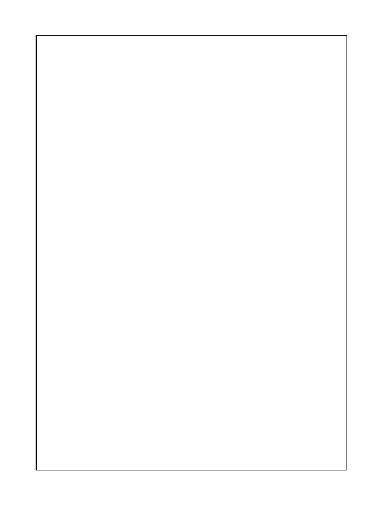